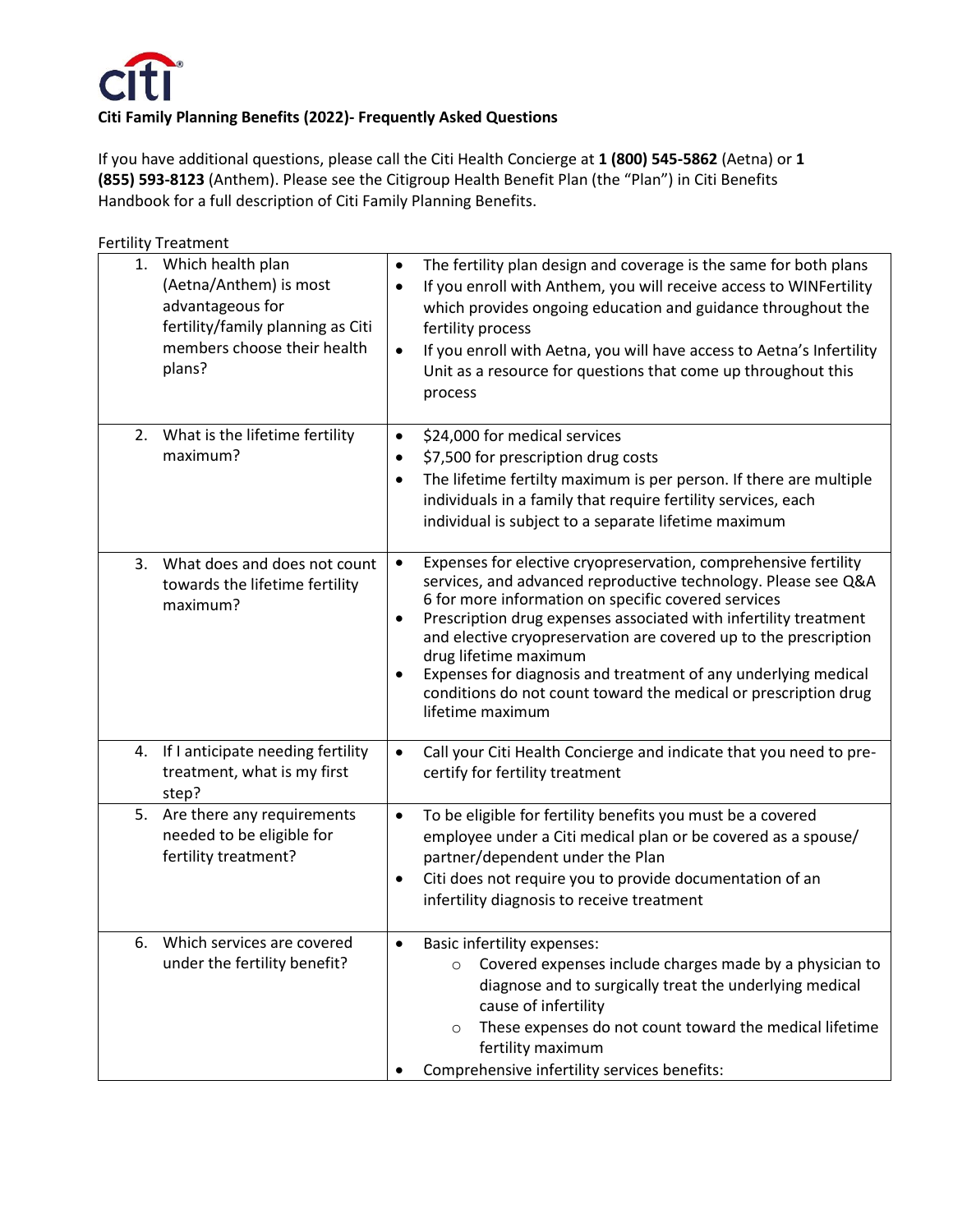

If you have additional questions, please call the Citi Health Concierge at **1 (800) 545-5862** (Aetna) or **1 (855) 593-8123** (Anthem). Please see the Citigroup Health Benefit Plan (the "Plan") in Citi Benefits Handbook for a full description of Citi Family Planning Benefits.

|    | <b>Fertility Treatment</b>                                                                                                                    |                                                                                                                                                                                                                                                                                                                                                                                                                                                                                                                                              |
|----|-----------------------------------------------------------------------------------------------------------------------------------------------|----------------------------------------------------------------------------------------------------------------------------------------------------------------------------------------------------------------------------------------------------------------------------------------------------------------------------------------------------------------------------------------------------------------------------------------------------------------------------------------------------------------------------------------------|
| 1. | Which health plan<br>(Aetna/Anthem) is most<br>advantageous for<br>fertility/family planning as Citi<br>members choose their health<br>plans? | The fertility plan design and coverage is the same for both plans<br>$\bullet$<br>If you enroll with Anthem, you will receive access to WINFertility<br>$\bullet$<br>which provides ongoing education and guidance throughout the<br>fertility process<br>If you enroll with Aetna, you will have access to Aetna's Infertility<br>$\bullet$<br>Unit as a resource for questions that come up throughout this<br>process                                                                                                                     |
| 2. | What is the lifetime fertility<br>maximum?                                                                                                    | \$24,000 for medical services<br>$\bullet$<br>\$7,500 for prescription drug costs<br>$\bullet$<br>The lifetime fertilty maximum is per person. If there are multiple<br>$\bullet$<br>individuals in a family that require fertility services, each<br>individual is subject to a separate lifetime maximum                                                                                                                                                                                                                                   |
| 3. | What does and does not count<br>towards the lifetime fertility<br>maximum?                                                                    | Expenses for elective cryopreservation, comprehensive fertility<br>$\bullet$<br>services, and advanced reproductive technology. Please see Q&A<br>6 for more information on specific covered services<br>Prescription drug expenses associated with infertility treatment<br>$\bullet$<br>and elective cryopreservation are covered up to the prescription<br>drug lifetime maximum<br>Expenses for diagnosis and treatment of any underlying medical<br>conditions do not count toward the medical or prescription drug<br>lifetime maximum |
| 4. | If I anticipate needing fertility<br>treatment, what is my first<br>step?                                                                     | Call your Citi Health Concierge and indicate that you need to pre-<br>$\bullet$<br>certify for fertility treatment                                                                                                                                                                                                                                                                                                                                                                                                                           |
|    | 5. Are there any requirements<br>needed to be eligible for<br>fertility treatment?                                                            | To be eligible for fertility benefits you must be a covered<br>$\bullet$<br>employee under a Citi medical plan or be covered as a spouse/<br>partner/dependent under the Plan<br>Citi does not require you to provide documentation of an<br>$\bullet$<br>infertility diagnosis to receive treatment                                                                                                                                                                                                                                         |
| 6. | Which services are covered<br>under the fertility benefit?                                                                                    | Basic infertility expenses:<br>٠<br>Covered expenses include charges made by a physician to<br>$\circ$<br>diagnose and to surgically treat the underlying medical<br>cause of infertility<br>These expenses do not count toward the medical lifetime<br>$\circ$<br>fertility maximum<br>Comprehensive infertility services benefits:                                                                                                                                                                                                         |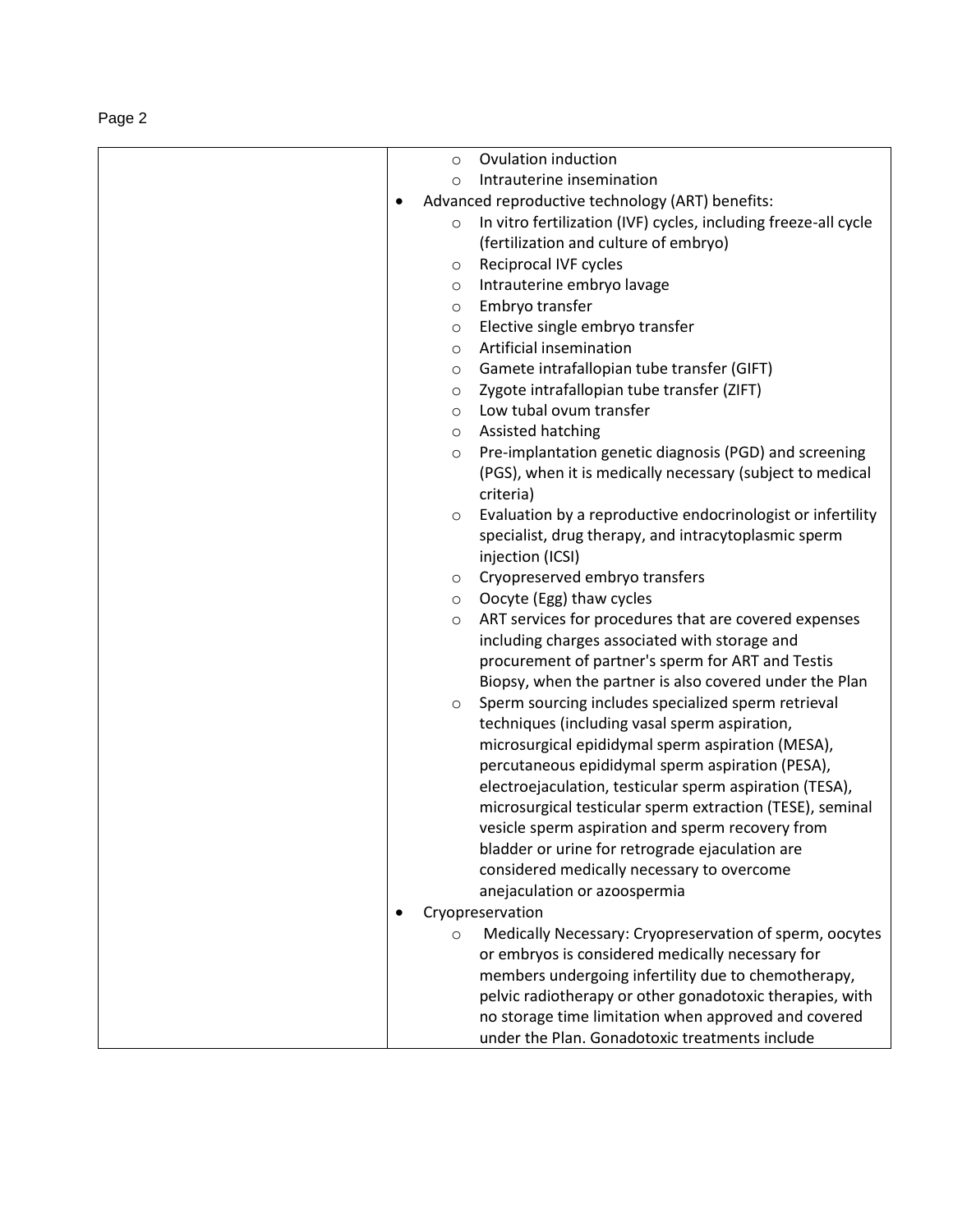|--|--|

|  | $\circ$ | Ovulation induction                                             |
|--|---------|-----------------------------------------------------------------|
|  | $\circ$ | Intrauterine insemination                                       |
|  |         | Advanced reproductive technology (ART) benefits:                |
|  | $\circ$ | In vitro fertilization (IVF) cycles, including freeze-all cycle |
|  |         | (fertilization and culture of embryo)                           |
|  | $\circ$ | Reciprocal IVF cycles                                           |
|  | $\circ$ | Intrauterine embryo lavage                                      |
|  | $\circ$ | Embryo transfer                                                 |
|  | $\circ$ | Elective single embryo transfer                                 |
|  | $\circ$ | Artificial insemination                                         |
|  | $\circ$ | Gamete intrafallopian tube transfer (GIFT)                      |
|  | $\circ$ | Zygote intrafallopian tube transfer (ZIFT)                      |
|  | $\circ$ | Low tubal ovum transfer                                         |
|  | $\circ$ | Assisted hatching                                               |
|  | $\circ$ | Pre-implantation genetic diagnosis (PGD) and screening          |
|  |         | (PGS), when it is medically necessary (subject to medical       |
|  |         | criteria)                                                       |
|  | $\circ$ | Evaluation by a reproductive endocrinologist or infertility     |
|  |         | specialist, drug therapy, and intracytoplasmic sperm            |
|  |         | injection (ICSI)                                                |
|  | $\circ$ | Cryopreserved embryo transfers                                  |
|  | $\circ$ | Oocyte (Egg) thaw cycles                                        |
|  | $\circ$ | ART services for procedures that are covered expenses           |
|  |         | including charges associated with storage and                   |
|  |         | procurement of partner's sperm for ART and Testis               |
|  |         | Biopsy, when the partner is also covered under the Plan         |
|  | $\circ$ | Sperm sourcing includes specialized sperm retrieval             |
|  |         | techniques (including vasal sperm aspiration,                   |
|  |         | microsurgical epididymal sperm aspiration (MESA),               |
|  |         | percutaneous epididymal sperm aspiration (PESA),                |
|  |         | electroejaculation, testicular sperm aspiration (TESA),         |
|  |         | microsurgical testicular sperm extraction (TESE), seminal       |
|  |         | vesicle sperm aspiration and sperm recovery from                |
|  |         | bladder or urine for retrograde ejaculation are                 |
|  |         | considered medically necessary to overcome                      |
|  |         | anejaculation or azoospermia                                    |
|  |         | Cryopreservation                                                |
|  | $\circ$ | Medically Necessary: Cryopreservation of sperm, oocytes         |
|  |         | or embryos is considered medically necessary for                |
|  |         | members undergoing infertility due to chemotherapy,             |
|  |         | pelvic radiotherapy or other gonadotoxic therapies, with        |
|  |         | no storage time limitation when approved and covered            |
|  |         | under the Plan. Gonadotoxic treatments include                  |
|  |         |                                                                 |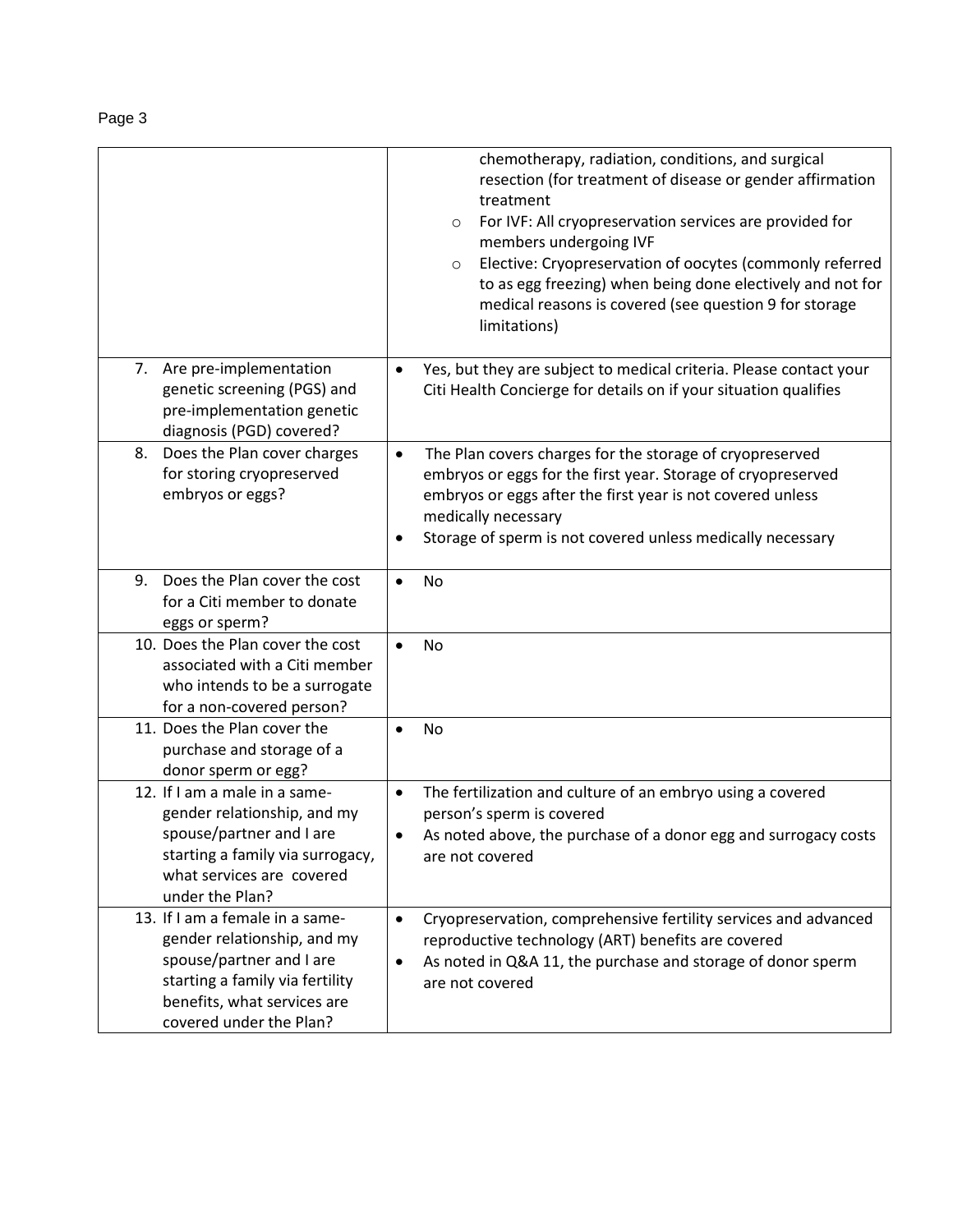|                                                                                                                                                                                         | chemotherapy, radiation, conditions, and surgical<br>resection (for treatment of disease or gender affirmation<br>treatment<br>For IVF: All cryopreservation services are provided for<br>$\circ$<br>members undergoing IVF<br>Elective: Cryopreservation of oocytes (commonly referred<br>$\circ$<br>to as egg freezing) when being done electively and not for<br>medical reasons is covered (see question 9 for storage<br>limitations) |
|-----------------------------------------------------------------------------------------------------------------------------------------------------------------------------------------|--------------------------------------------------------------------------------------------------------------------------------------------------------------------------------------------------------------------------------------------------------------------------------------------------------------------------------------------------------------------------------------------------------------------------------------------|
| 7. Are pre-implementation<br>genetic screening (PGS) and<br>pre-implementation genetic<br>diagnosis (PGD) covered?                                                                      | Yes, but they are subject to medical criteria. Please contact your<br>$\bullet$<br>Citi Health Concierge for details on if your situation qualifies                                                                                                                                                                                                                                                                                        |
| Does the Plan cover charges<br>8.<br>for storing cryopreserved<br>embryos or eggs?                                                                                                      | The Plan covers charges for the storage of cryopreserved<br>$\bullet$<br>embryos or eggs for the first year. Storage of cryopreserved<br>embryos or eggs after the first year is not covered unless<br>medically necessary<br>Storage of sperm is not covered unless medically necessary<br>$\bullet$                                                                                                                                      |
| Does the Plan cover the cost<br>9.<br>for a Citi member to donate<br>eggs or sperm?                                                                                                     | No<br>$\bullet$                                                                                                                                                                                                                                                                                                                                                                                                                            |
| 10. Does the Plan cover the cost<br>associated with a Citi member<br>who intends to be a surrogate<br>for a non-covered person?                                                         | <b>No</b><br>$\bullet$                                                                                                                                                                                                                                                                                                                                                                                                                     |
| 11. Does the Plan cover the<br>purchase and storage of a<br>donor sperm or egg?                                                                                                         | No<br>$\bullet$                                                                                                                                                                                                                                                                                                                                                                                                                            |
| 12. If I am a male in a same-<br>gender relationship, and my<br>spouse/partner and I are<br>starting a family via surrogacy,<br>what services are covered<br>under the Plan?            | The fertilization and culture of an embryo using a covered<br>$\bullet$<br>person's sperm is covered<br>As noted above, the purchase of a donor egg and surrogacy costs<br>are not covered                                                                                                                                                                                                                                                 |
| 13. If I am a female in a same-<br>gender relationship, and my<br>spouse/partner and I are<br>starting a family via fertility<br>benefits, what services are<br>covered under the Plan? | Cryopreservation, comprehensive fertility services and advanced<br>$\bullet$<br>reproductive technology (ART) benefits are covered<br>As noted in Q&A 11, the purchase and storage of donor sperm<br>٠<br>are not covered                                                                                                                                                                                                                  |

Page 3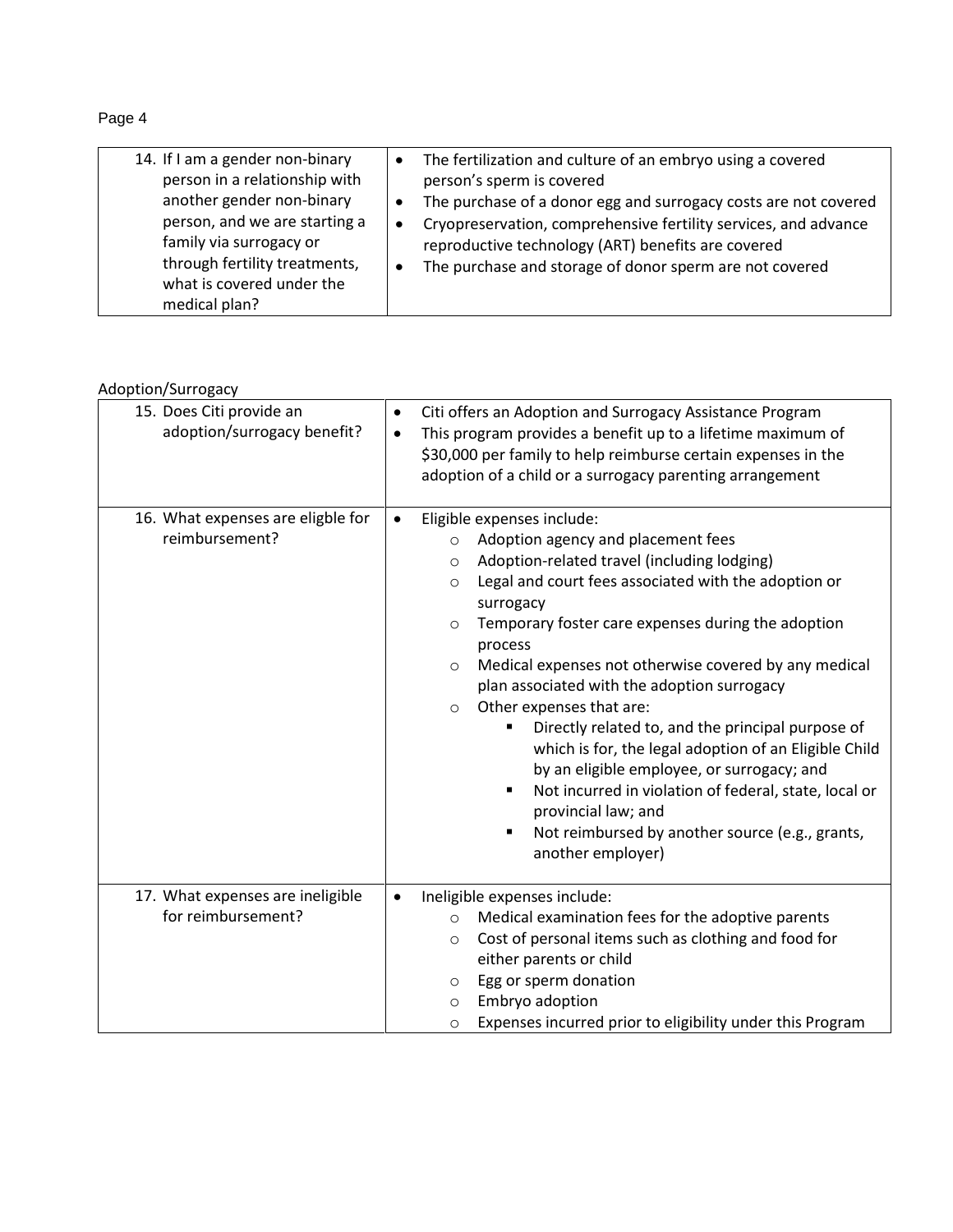Page 4

| 14. If I am a gender non-binary                            | The fertilization and culture of an embryo using a covered<br>$\bullet$      |
|------------------------------------------------------------|------------------------------------------------------------------------------|
| person in a relationship with                              | person's sperm is covered                                                    |
| another gender non-binary                                  | The purchase of a donor egg and surrogacy costs are not covered<br>$\bullet$ |
| person, and we are starting a                              | Cryopreservation, comprehensive fertility services, and advance<br>$\bullet$ |
| family via surrogacy or                                    | reproductive technology (ART) benefits are covered                           |
| through fertility treatments,<br>what is covered under the | The purchase and storage of donor sperm are not covered<br>$\bullet$         |
| medical plan?                                              |                                                                              |

## Adoption/Surrogacy

| 15. Does Citi provide an<br>adoption/surrogacy benefit? | Citi offers an Adoption and Surrogacy Assistance Program<br>$\bullet$<br>This program provides a benefit up to a lifetime maximum of<br>$\bullet$<br>\$30,000 per family to help reimburse certain expenses in the<br>adoption of a child or a surrogacy parenting arrangement                                                                                                                                                                                                                                                                                                                                                                                                                                                                                                                    |
|---------------------------------------------------------|---------------------------------------------------------------------------------------------------------------------------------------------------------------------------------------------------------------------------------------------------------------------------------------------------------------------------------------------------------------------------------------------------------------------------------------------------------------------------------------------------------------------------------------------------------------------------------------------------------------------------------------------------------------------------------------------------------------------------------------------------------------------------------------------------|
| 16. What expenses are eligble for<br>reimbursement?     | Eligible expenses include:<br>$\bullet$<br>Adoption agency and placement fees<br>$\circ$<br>Adoption-related travel (including lodging)<br>$\circ$<br>Legal and court fees associated with the adoption or<br>$\circ$<br>surrogacy<br>Temporary foster care expenses during the adoption<br>$\circ$<br>process<br>Medical expenses not otherwise covered by any medical<br>$\circ$<br>plan associated with the adoption surrogacy<br>Other expenses that are:<br>$\circ$<br>Directly related to, and the principal purpose of<br>which is for, the legal adoption of an Eligible Child<br>by an eligible employee, or surrogacy; and<br>Not incurred in violation of federal, state, local or<br>٠<br>provincial law; and<br>Not reimbursed by another source (e.g., grants,<br>another employer) |
| 17. What expenses are ineligible<br>for reimbursement?  | Ineligible expenses include:<br>$\bullet$<br>Medical examination fees for the adoptive parents<br>$\circ$<br>Cost of personal items such as clothing and food for<br>$\circ$<br>either parents or child<br>Egg or sperm donation<br>$\circ$<br>Embryo adoption<br>$\circ$<br>Expenses incurred prior to eligibility under this Program<br>$\circ$                                                                                                                                                                                                                                                                                                                                                                                                                                                 |